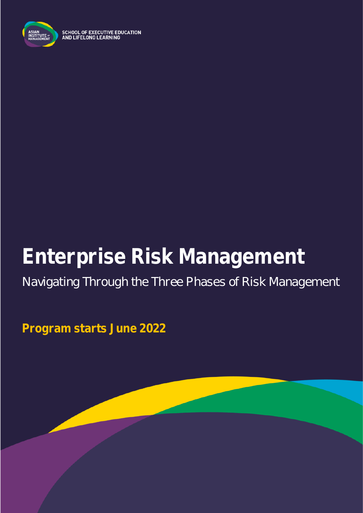

**SCHOOL OF EXECUTIVE EDUCATION<br>AND LIFELONG LEARNING** 

# **Enterprise Risk Management**

# Navigating Through the Three Phases of Risk Management

**Program starts June 2022**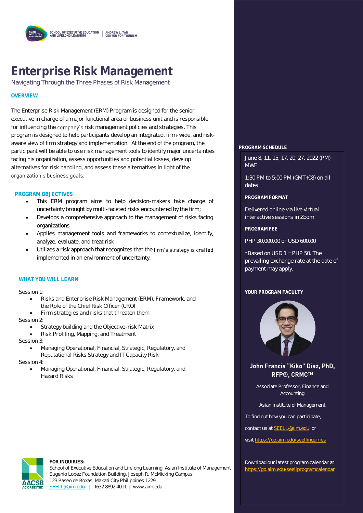

# **Enterprise Risk Management**

Navigating Through the Three Phases of Risk Management

#### **OVERVIEW**

The Enterprise Risk Management (ERM) Program is designed for the senior executive in charge of a major functional area or business unit and is responsible for influencing the company's risk management policies and strategies. This program is designed to help participants develop an integrated, firm-wide, and riskaware view of firm strategy and implementation. At the end of the program, the participant will be able to use risk management tools to identify major uncertainties facing his organization, assess opportunities and potential losses, develop alternatives for risk handling, and assess these alternatives in light of the organization's business goals.

#### **PROGRAM OBJECTIVES**

- This ERM program aims to help decision-makers take charge of uncertainty brought by multi-faceted risks encountered by the firm;
- Develops a comprehensive approach to the management of risks facing organizations
- Applies management tools and frameworks to contextualize, identify, analyze, evaluate, and treat risk
- Utilizes a risk approach that recognizes that the firm's strategy is crafted implemented in an environment of uncertainty.

#### **WHAT YOU WILL LEARN**

Session 1:

- Risks and Enterprise Risk Management (ERM), Framework, and the Role of the Chief Risk Officer (CRO)
- Firm strategies and risks that threaten them

Session 2:

- Strategy building and the Objective-risk Matrix
- Risk Profiling, Mapping, and Treatment
- Session 3:
	- Managing Operational, Financial, Strategic, Regulatory, and Reputational Risks Strategy and IT Capacity Risk

Session 4:

• Managing Operational, Financial, Strategic, Regulatory, and Hazard Risks



#### **FOR INQUIRIES:**

School of Executive Education and Lifelong Learning, Asian Institute of Management Eugenio Lopez Foundation Building, Joseph R. McMicking Campus 123 Paseo de Roxas, Makati City Philippines 1229 [SEELL@aim.edu](mailto:SEELL@aim.edu) | +632 8892 4011 | www.aim.edu

#### **PROGRAM SCHEDULE**

June 8, 11, 15, 17, 20, 27, 2022 (PM) MWF

1:30 PM to 5:00 PM (GMT+08) on all dates

**PROGRAM FORMAT**

Delivered online via live virtual interactive sessions in Zoom

**PROGRAM FEE**

PHP 30,000.00 or USD 600.00

\*Based on USD 1 = PHP 50. The prevailing exchange rate at the date of payment may apply.

#### **YOUR PROGRAM FACULTY**



John Francis "Kiko" Diaz, PhD, **RFP®. CRMC™** 

Associate Professor, Finance and Accounting

Asian Institute of Management

To find out how you can participate,

contact us a[t SEELL@aim.edu](mailto:SEELL@aim.edu) or

visi[t https://go.aim.edu/seellinquiries](https://go.aim.edu/seellinquiries)

Download our latest program calendar at <https://go.aim.edu/seellprogramcalendar>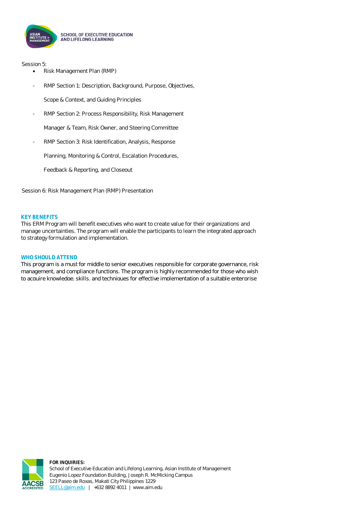

Session 5:

- Risk Management Plan (RMP)
- RMP Section 1: Description, Background, Purpose, Objectives,

Scope & Context, and Guiding Principles

- RMP Section 2: Process Responsibility, Risk Management

Manager & Team, Risk Owner, and Steering Committee

RMP Section 3: Risk Identification, Analysis, Response

Planning, Monitoring & Control, Escalation Procedures,

Feedback & Reporting, and Closeout

Session 6: Risk Management Plan (RMP) Presentation

#### **KEY BENEFITS**

This ERM Program will benefit executives who want to create value for their organizations and manage uncertainties. The program will enable the participants to learn the integrated approach to strategy formulation and implementation.

#### **WHO SHOULD ATTEND**

This program is a must for middle to senior executives responsible for corporate governance, risk management, and compliance functions. The program is highly recommended for those who wish to acquire knowledge, skills, and techniques for effective implementation of a suitable enterprise

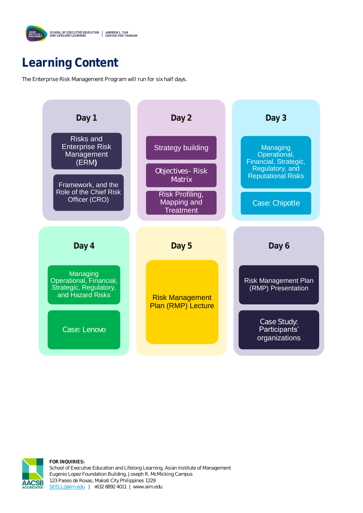## **Learning Content**

The Enterprise Risk Management Program will run for six half days.





**FOR INQUIRIES:** School of Executive Education and Lifelong Learning, Asian Institute of Management Eugenio Lopez Foundation Building, Joseph R. McMicking Campus 123 Paseo de Roxas, Makati City Philippines 1229 [SEELL@aim.edu](mailto:SEELL@aim.edu) | +632 8892 4011 | www.aim.edu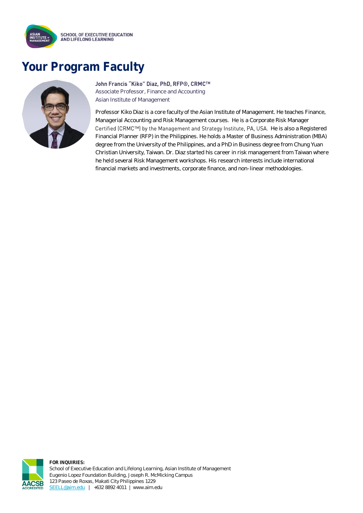

### **Your Program Faculty**



#### John Francis "Kiko" Diaz, PhD, RFP®, CRMC™

Associate Professor, Finance and Accounting Asian Institute of Management

Professor Kiko Diaz is a core faculty of the Asian Institute of Management. He teaches Finance, Managerial Accounting and Risk Management courses. He is a Corporate Risk Manager Certified (CRMC™) by the Management and Strategy Institute, PA, USA. He is also a Registered Financial Planner (RFP) in the Philippines. He holds a Master of Business Administration (MBA) degree from the University of the Philippines, and a PhD in Business degree from Chung Yuan Christian University, Taiwan. Dr. Diaz started his career in risk management from Taiwan where he held several Risk Management workshops. His research interests include international financial markets and investments, corporate finance, and non-linear methodologies.



**FOR INQUIRIES:** School of Executive Education and Lifelong Learning, Asian Institute of Management Eugenio Lopez Foundation Building, Joseph R. McMicking Campus 123 Paseo de Roxas, Makati City Philippines 1229 [SEELL@aim.edu](mailto:SEELL@aim.edu) | +632 8892 4011 | www.aim.edu